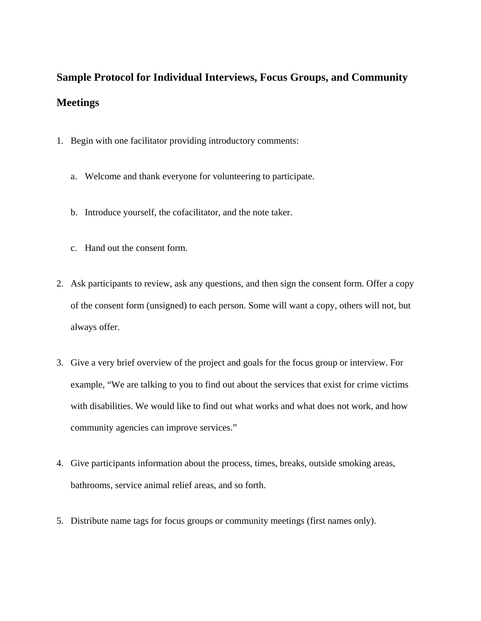## **Sample Protocol for Individual Interviews, Focus Groups, and Community Meetings**

- 1. Begin with one facilitator providing introductory comments:
	- a. Welcome and thank everyone for volunteering to participate.
	- b. Introduce yourself, the cofacilitator, and the note taker.
	- c. Hand out the consent form.
- 2. Ask participants to review, ask any questions, and then sign the consent form. Offer a copy of the consent form (unsigned) to each person. Some will want a copy, others will not, but always offer.
- 3. Give a very brief overview of the project and goals for the focus group or interview. For example, "We are talking to you to find out about the services that exist for crime victims with disabilities. We would like to find out what works and what does not work, and how community agencies can improve services."
- 4. Give participants information about the process, times, breaks, outside smoking areas, bathrooms, service animal relief areas, and so forth.
- 5. Distribute name tags for focus groups or community meetings (first names only).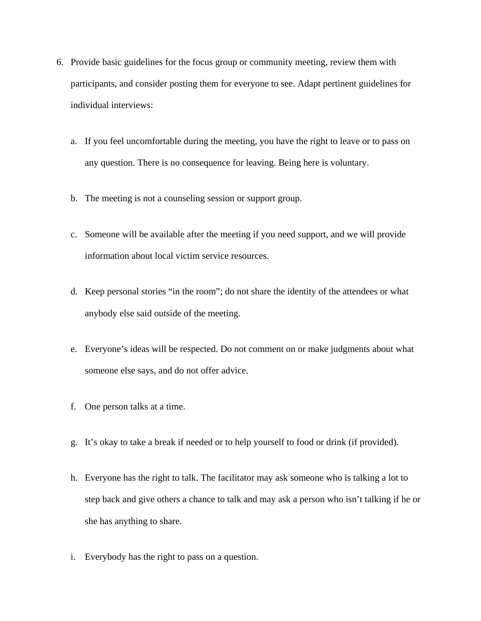- 6. Provide basic guidelines for the focus group or community meeting, review them with participants, and consider posting them for everyone to see. Adapt pertinent guidelines for individual interviews:
	- a. If you feel uncomfortable during the meeting, you have the right to leave or to pass on any question. There is no consequence for leaving. Being here is voluntary.
	- b. The meeting is not a counseling session or support group.
	- c. Someone will be available after the meeting if you need support, and we will provide information about local victim service resources.
	- d. Keep personal stories "in the room"; do not share the identity of the attendees or what anybody else said outside of the meeting.
	- e. Everyone's ideas will be respected. Do not comment on or make judgments about what someone else says, and do not offer advice.
	- f. One person talks at a time.
	- g. It's okay to take a break if needed or to help yourself to food or drink (if provided).
	- h. Everyone has the right to talk. The facilitator may ask someone who is talking a lot to step back and give others a chance to talk and may ask a person who isn't talking if he or she has anything to share.
	- i. Everybody has the right to pass on a question.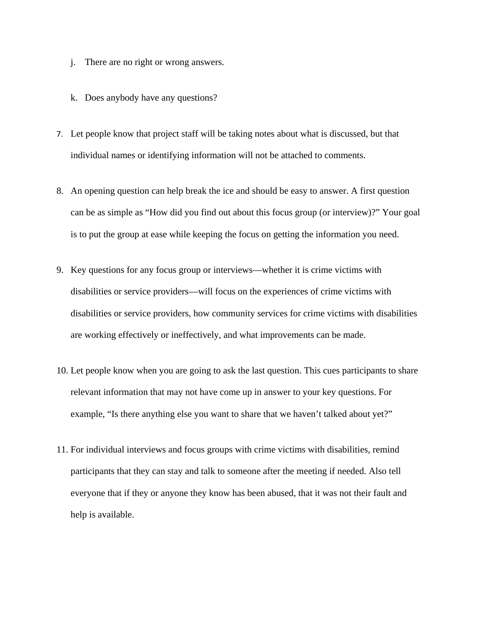- j. There are no right or wrong answers.
- k. Does anybody have any questions?
- 7. Let people know that project staff will be taking notes about what is discussed, but that individual names or identifying information will not be attached to comments.
- 8. An opening question can help break the ice and should be easy to answer. A first question can be as simple as "How did you find out about this focus group (or interview)?" Your goal is to put the group at ease while keeping the focus on getting the information you need.
- 9. Key questions for any focus group or interviews—whether it is crime victims with disabilities or service providers—will focus on the experiences of crime victims with disabilities or service providers, how community services for crime victims with disabilities are working effectively or ineffectively, and what improvements can be made.
- 10. Let people know when you are going to ask the last question. This cues participants to share relevant information that may not have come up in answer to your key questions. For example, "Is there anything else you want to share that we haven't talked about yet?"
- 11. For individual interviews and focus groups with crime victims with disabilities, remind participants that they can stay and talk to someone after the meeting if needed. Also tell everyone that if they or anyone they know has been abused, that it was not their fault and help is available.